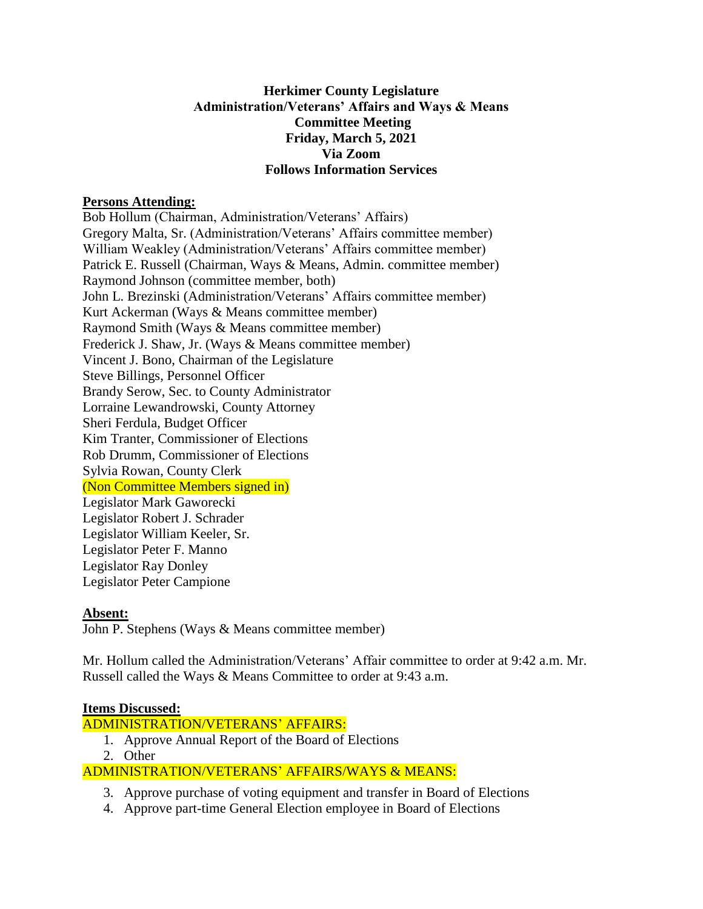# **Herkimer County Legislature Administration/Veterans' Affairs and Ways & Means Committee Meeting Friday, March 5, 2021 Via Zoom Follows Information Services**

## **Persons Attending:**

Bob Hollum (Chairman, Administration/Veterans' Affairs) Gregory Malta, Sr. (Administration/Veterans' Affairs committee member) William Weakley (Administration/Veterans' Affairs committee member) Patrick E. Russell (Chairman, Ways & Means, Admin. committee member) Raymond Johnson (committee member, both) John L. Brezinski (Administration/Veterans' Affairs committee member) Kurt Ackerman (Ways & Means committee member) Raymond Smith (Ways & Means committee member) Frederick J. Shaw, Jr. (Ways & Means committee member) Vincent J. Bono, Chairman of the Legislature Steve Billings, Personnel Officer Brandy Serow, Sec. to County Administrator Lorraine Lewandrowski, County Attorney Sheri Ferdula, Budget Officer Kim Tranter, Commissioner of Elections Rob Drumm, Commissioner of Elections Sylvia Rowan, County Clerk (Non Committee Members signed in) Legislator Mark Gaworecki Legislator Robert J. Schrader Legislator William Keeler, Sr. Legislator Peter F. Manno

Legislator Ray Donley Legislator Peter Campione

### **Absent:**

John P. Stephens (Ways & Means committee member)

Mr. Hollum called the Administration/Veterans' Affair committee to order at 9:42 a.m. Mr. Russell called the Ways & Means Committee to order at 9:43 a.m.

### **Items Discussed:**

ADMINISTRATION/VETERANS' AFFAIRS:

- 1. Approve Annual Report of the Board of Elections
- 2. Other

# ADMINISTRATION/VETERANS' AFFAIRS/WAYS & MEANS:

- 3. Approve purchase of voting equipment and transfer in Board of Elections
- 4. Approve part-time General Election employee in Board of Elections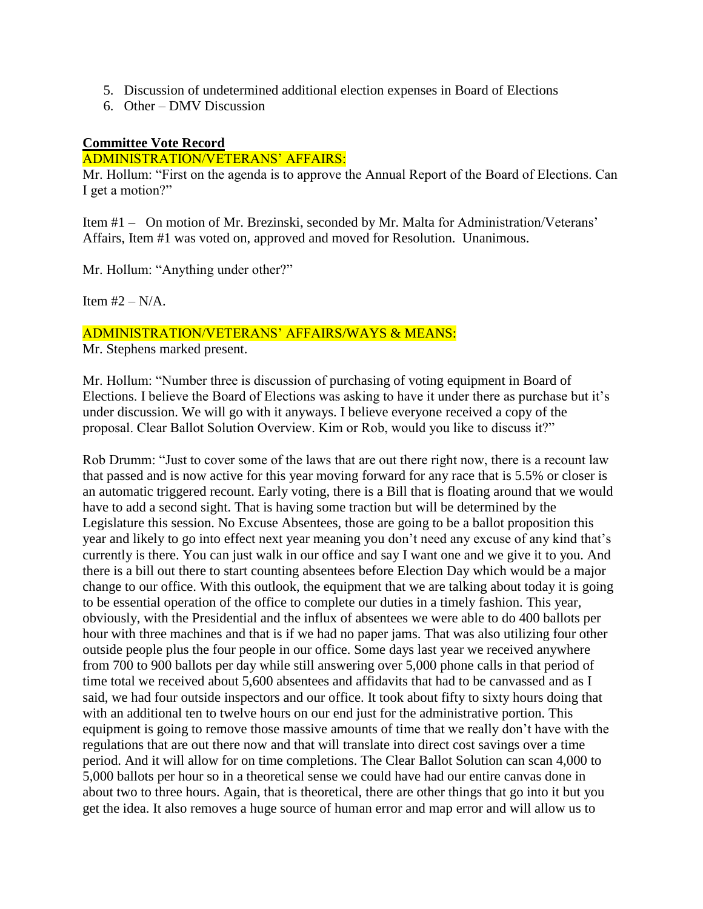- 5. Discussion of undetermined additional election expenses in Board of Elections
- 6. Other DMV Discussion

### **Committee Vote Record**

#### ADMINISTRATION/VETERANS' AFFAIRS:

Mr. Hollum: "First on the agenda is to approve the Annual Report of the Board of Elections. Can I get a motion?"

Item #1 – On motion of Mr. Brezinski, seconded by Mr. Malta for Administration/Veterans' Affairs, Item #1 was voted on, approved and moved for Resolution. Unanimous.

Mr. Hollum: "Anything under other?"

Item  $#2 - N/A$ .

### ADMINISTRATION/VETERANS' AFFAIRS/WAYS & MEANS:

Mr. Stephens marked present.

Mr. Hollum: "Number three is discussion of purchasing of voting equipment in Board of Elections. I believe the Board of Elections was asking to have it under there as purchase but it's under discussion. We will go with it anyways. I believe everyone received a copy of the proposal. Clear Ballot Solution Overview. Kim or Rob, would you like to discuss it?"

Rob Drumm: "Just to cover some of the laws that are out there right now, there is a recount law that passed and is now active for this year moving forward for any race that is 5.5% or closer is an automatic triggered recount. Early voting, there is a Bill that is floating around that we would have to add a second sight. That is having some traction but will be determined by the Legislature this session. No Excuse Absentees, those are going to be a ballot proposition this year and likely to go into effect next year meaning you don't need any excuse of any kind that's currently is there. You can just walk in our office and say I want one and we give it to you. And there is a bill out there to start counting absentees before Election Day which would be a major change to our office. With this outlook, the equipment that we are talking about today it is going to be essential operation of the office to complete our duties in a timely fashion. This year, obviously, with the Presidential and the influx of absentees we were able to do 400 ballots per hour with three machines and that is if we had no paper jams. That was also utilizing four other outside people plus the four people in our office. Some days last year we received anywhere from 700 to 900 ballots per day while still answering over 5,000 phone calls in that period of time total we received about 5,600 absentees and affidavits that had to be canvassed and as I said, we had four outside inspectors and our office. It took about fifty to sixty hours doing that with an additional ten to twelve hours on our end just for the administrative portion. This equipment is going to remove those massive amounts of time that we really don't have with the regulations that are out there now and that will translate into direct cost savings over a time period. And it will allow for on time completions. The Clear Ballot Solution can scan 4,000 to 5,000 ballots per hour so in a theoretical sense we could have had our entire canvas done in about two to three hours. Again, that is theoretical, there are other things that go into it but you get the idea. It also removes a huge source of human error and map error and will allow us to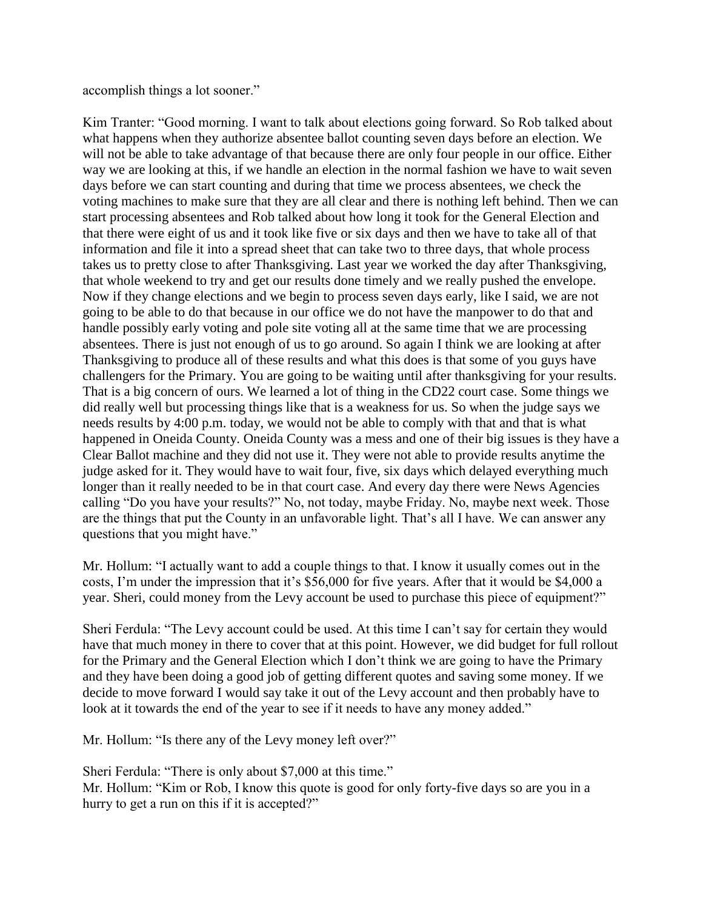accomplish things a lot sooner."

Kim Tranter: "Good morning. I want to talk about elections going forward. So Rob talked about what happens when they authorize absentee ballot counting seven days before an election. We will not be able to take advantage of that because there are only four people in our office. Either way we are looking at this, if we handle an election in the normal fashion we have to wait seven days before we can start counting and during that time we process absentees, we check the voting machines to make sure that they are all clear and there is nothing left behind. Then we can start processing absentees and Rob talked about how long it took for the General Election and that there were eight of us and it took like five or six days and then we have to take all of that information and file it into a spread sheet that can take two to three days, that whole process takes us to pretty close to after Thanksgiving. Last year we worked the day after Thanksgiving, that whole weekend to try and get our results done timely and we really pushed the envelope. Now if they change elections and we begin to process seven days early, like I said, we are not going to be able to do that because in our office we do not have the manpower to do that and handle possibly early voting and pole site voting all at the same time that we are processing absentees. There is just not enough of us to go around. So again I think we are looking at after Thanksgiving to produce all of these results and what this does is that some of you guys have challengers for the Primary. You are going to be waiting until after thanksgiving for your results. That is a big concern of ours. We learned a lot of thing in the CD22 court case. Some things we did really well but processing things like that is a weakness for us. So when the judge says we needs results by 4:00 p.m. today, we would not be able to comply with that and that is what happened in Oneida County. Oneida County was a mess and one of their big issues is they have a Clear Ballot machine and they did not use it. They were not able to provide results anytime the judge asked for it. They would have to wait four, five, six days which delayed everything much longer than it really needed to be in that court case. And every day there were News Agencies calling "Do you have your results?" No, not today, maybe Friday. No, maybe next week. Those are the things that put the County in an unfavorable light. That's all I have. We can answer any questions that you might have."

Mr. Hollum: "I actually want to add a couple things to that. I know it usually comes out in the costs, I'm under the impression that it's \$56,000 for five years. After that it would be \$4,000 a year. Sheri, could money from the Levy account be used to purchase this piece of equipment?"

Sheri Ferdula: "The Levy account could be used. At this time I can't say for certain they would have that much money in there to cover that at this point. However, we did budget for full rollout for the Primary and the General Election which I don't think we are going to have the Primary and they have been doing a good job of getting different quotes and saving some money. If we decide to move forward I would say take it out of the Levy account and then probably have to look at it towards the end of the year to see if it needs to have any money added."

Mr. Hollum: "Is there any of the Levy money left over?"

Sheri Ferdula: "There is only about \$7,000 at this time." Mr. Hollum: "Kim or Rob, I know this quote is good for only forty-five days so are you in a hurry to get a run on this if it is accepted?"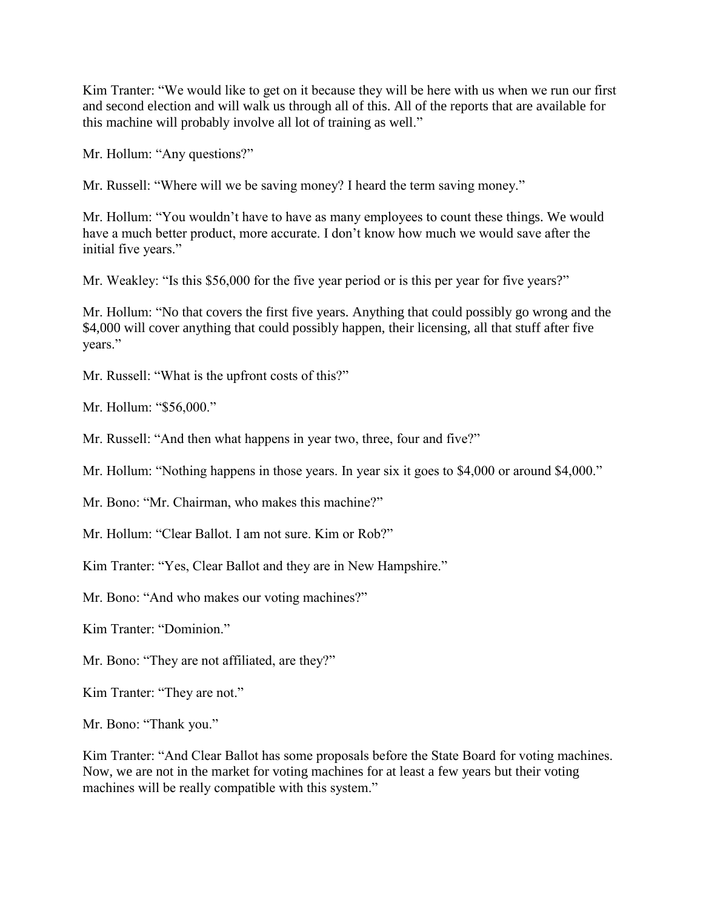Kim Tranter: "We would like to get on it because they will be here with us when we run our first and second election and will walk us through all of this. All of the reports that are available for this machine will probably involve all lot of training as well."

Mr. Hollum: "Any questions?"

Mr. Russell: "Where will we be saving money? I heard the term saving money."

Mr. Hollum: "You wouldn't have to have as many employees to count these things. We would have a much better product, more accurate. I don't know how much we would save after the initial five years."

Mr. Weakley: "Is this \$56,000 for the five year period or is this per year for five years?"

Mr. Hollum: "No that covers the first five years. Anything that could possibly go wrong and the \$4,000 will cover anything that could possibly happen, their licensing, all that stuff after five years."

Mr. Russell: "What is the upfront costs of this?"

Mr. Hollum: "\$56,000."

Mr. Russell: "And then what happens in year two, three, four and five?"

Mr. Hollum: "Nothing happens in those years. In year six it goes to \$4,000 or around \$4,000."

Mr. Bono: "Mr. Chairman, who makes this machine?"

Mr. Hollum: "Clear Ballot. I am not sure. Kim or Rob?"

Kim Tranter: "Yes, Clear Ballot and they are in New Hampshire."

Mr. Bono: "And who makes our voting machines?"

Kim Tranter: "Dominion."

Mr. Bono: "They are not affiliated, are they?"

Kim Tranter: "They are not."

Mr. Bono: "Thank you."

Kim Tranter: "And Clear Ballot has some proposals before the State Board for voting machines. Now, we are not in the market for voting machines for at least a few years but their voting machines will be really compatible with this system."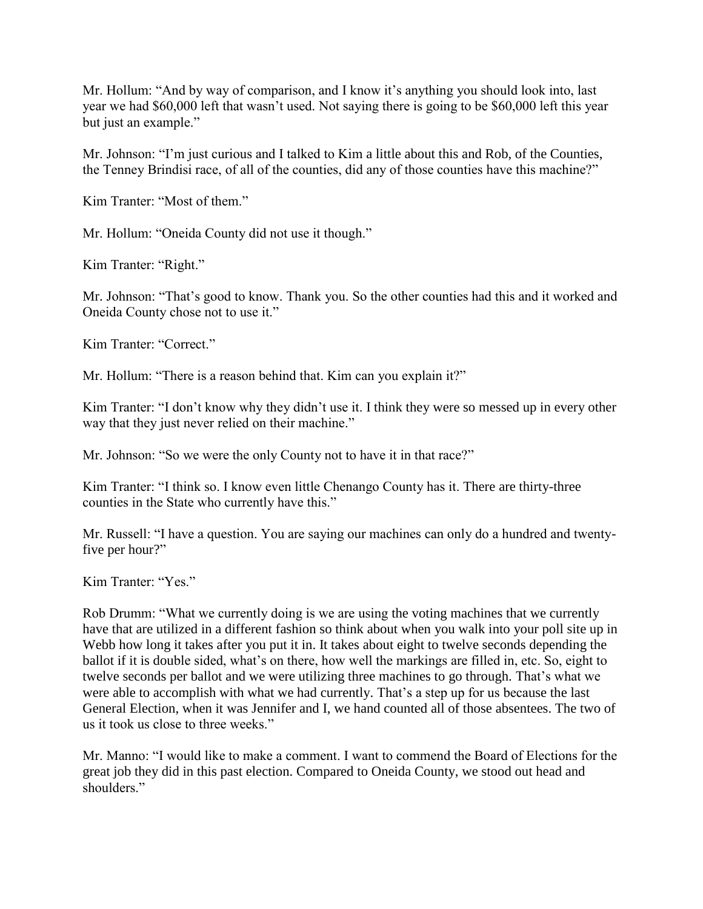Mr. Hollum: "And by way of comparison, and I know it's anything you should look into, last year we had \$60,000 left that wasn't used. Not saying there is going to be \$60,000 left this year but just an example."

Mr. Johnson: "I'm just curious and I talked to Kim a little about this and Rob, of the Counties, the Tenney Brindisi race, of all of the counties, did any of those counties have this machine?"

Kim Tranter: "Most of them."

Mr. Hollum: "Oneida County did not use it though."

Kim Tranter: "Right."

Mr. Johnson: "That's good to know. Thank you. So the other counties had this and it worked and Oneida County chose not to use it."

Kim Tranter: "Correct."

Mr. Hollum: "There is a reason behind that. Kim can you explain it?"

Kim Tranter: "I don't know why they didn't use it. I think they were so messed up in every other way that they just never relied on their machine."

Mr. Johnson: "So we were the only County not to have it in that race?"

Kim Tranter: "I think so. I know even little Chenango County has it. There are thirty-three counties in the State who currently have this."

Mr. Russell: "I have a question. You are saying our machines can only do a hundred and twentyfive per hour?"

Kim Tranter: "Yes."

Rob Drumm: "What we currently doing is we are using the voting machines that we currently have that are utilized in a different fashion so think about when you walk into your poll site up in Webb how long it takes after you put it in. It takes about eight to twelve seconds depending the ballot if it is double sided, what's on there, how well the markings are filled in, etc. So, eight to twelve seconds per ballot and we were utilizing three machines to go through. That's what we were able to accomplish with what we had currently. That's a step up for us because the last General Election, when it was Jennifer and I, we hand counted all of those absentees. The two of us it took us close to three weeks."

Mr. Manno: "I would like to make a comment. I want to commend the Board of Elections for the great job they did in this past election. Compared to Oneida County, we stood out head and shoulders."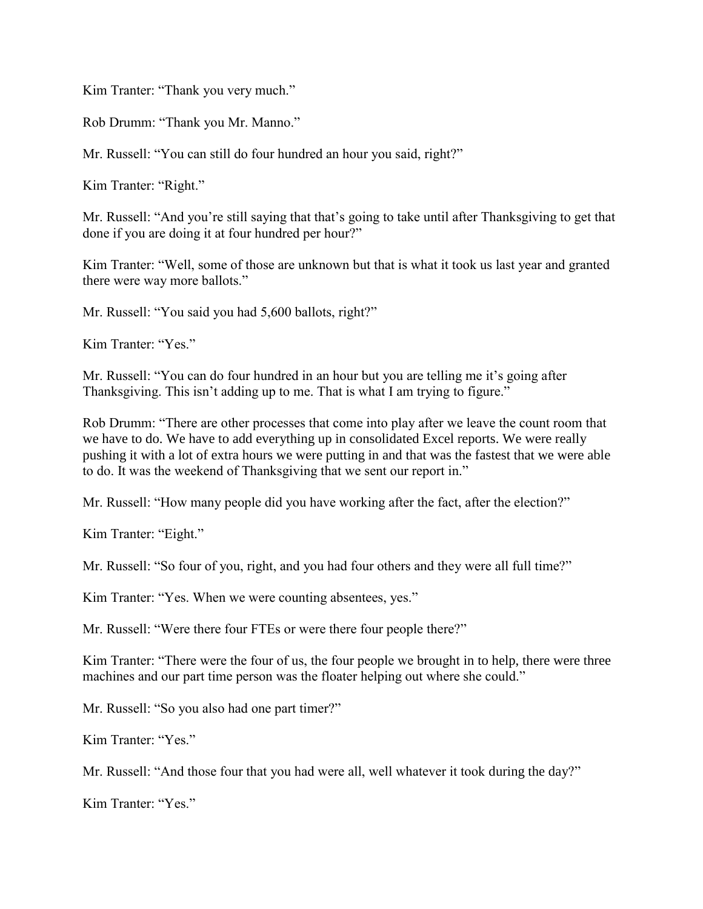Kim Tranter: "Thank you very much."

Rob Drumm: "Thank you Mr. Manno."

Mr. Russell: "You can still do four hundred an hour you said, right?"

Kim Tranter: "Right."

Mr. Russell: "And you're still saying that that's going to take until after Thanksgiving to get that done if you are doing it at four hundred per hour?"

Kim Tranter: "Well, some of those are unknown but that is what it took us last year and granted there were way more ballots."

Mr. Russell: "You said you had 5,600 ballots, right?"

Kim Tranter: "Yes."

Mr. Russell: "You can do four hundred in an hour but you are telling me it's going after Thanksgiving. This isn't adding up to me. That is what I am trying to figure."

Rob Drumm: "There are other processes that come into play after we leave the count room that we have to do. We have to add everything up in consolidated Excel reports. We were really pushing it with a lot of extra hours we were putting in and that was the fastest that we were able to do. It was the weekend of Thanksgiving that we sent our report in."

Mr. Russell: "How many people did you have working after the fact, after the election?"

Kim Tranter: "Eight."

Mr. Russell: "So four of you, right, and you had four others and they were all full time?"

Kim Tranter: "Yes. When we were counting absentees, yes."

Mr. Russell: "Were there four FTEs or were there four people there?"

Kim Tranter: "There were the four of us, the four people we brought in to help, there were three machines and our part time person was the floater helping out where she could."

Mr. Russell: "So you also had one part timer?"

Kim Tranter: "Yes."

Mr. Russell: "And those four that you had were all, well whatever it took during the day?"

Kim Tranter: "Yes."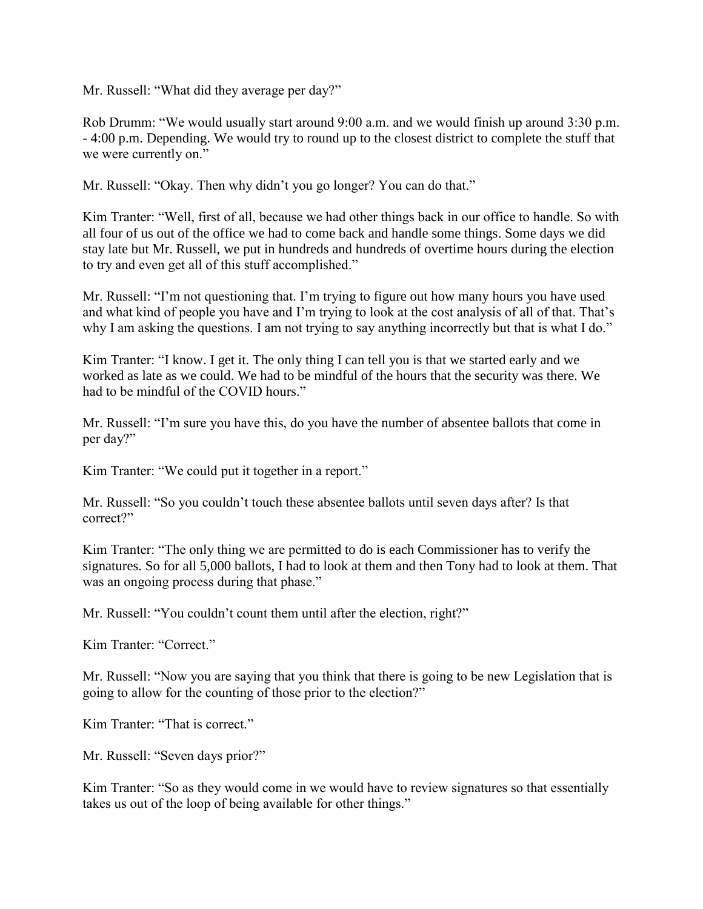Mr. Russell: "What did they average per day?"

Rob Drumm: "We would usually start around 9:00 a.m. and we would finish up around 3:30 p.m. - 4:00 p.m. Depending. We would try to round up to the closest district to complete the stuff that we were currently on."

Mr. Russell: "Okay. Then why didn't you go longer? You can do that."

Kim Tranter: "Well, first of all, because we had other things back in our office to handle. So with all four of us out of the office we had to come back and handle some things. Some days we did stay late but Mr. Russell, we put in hundreds and hundreds of overtime hours during the election to try and even get all of this stuff accomplished."

Mr. Russell: "I'm not questioning that. I'm trying to figure out how many hours you have used and what kind of people you have and I'm trying to look at the cost analysis of all of that. That's why I am asking the questions. I am not trying to say anything incorrectly but that is what I do."

Kim Tranter: "I know. I get it. The only thing I can tell you is that we started early and we worked as late as we could. We had to be mindful of the hours that the security was there. We had to be mindful of the COVID hours."

Mr. Russell: "I'm sure you have this, do you have the number of absentee ballots that come in per day?"

Kim Tranter: "We could put it together in a report."

Mr. Russell: "So you couldn't touch these absentee ballots until seven days after? Is that correct?"

Kim Tranter: "The only thing we are permitted to do is each Commissioner has to verify the signatures. So for all 5,000 ballots, I had to look at them and then Tony had to look at them. That was an ongoing process during that phase."

Mr. Russell: "You couldn't count them until after the election, right?"

Kim Tranter: "Correct."

Mr. Russell: "Now you are saying that you think that there is going to be new Legislation that is going to allow for the counting of those prior to the election?"

Kim Tranter: "That is correct."

Mr. Russell: "Seven days prior?"

Kim Tranter: "So as they would come in we would have to review signatures so that essentially takes us out of the loop of being available for other things."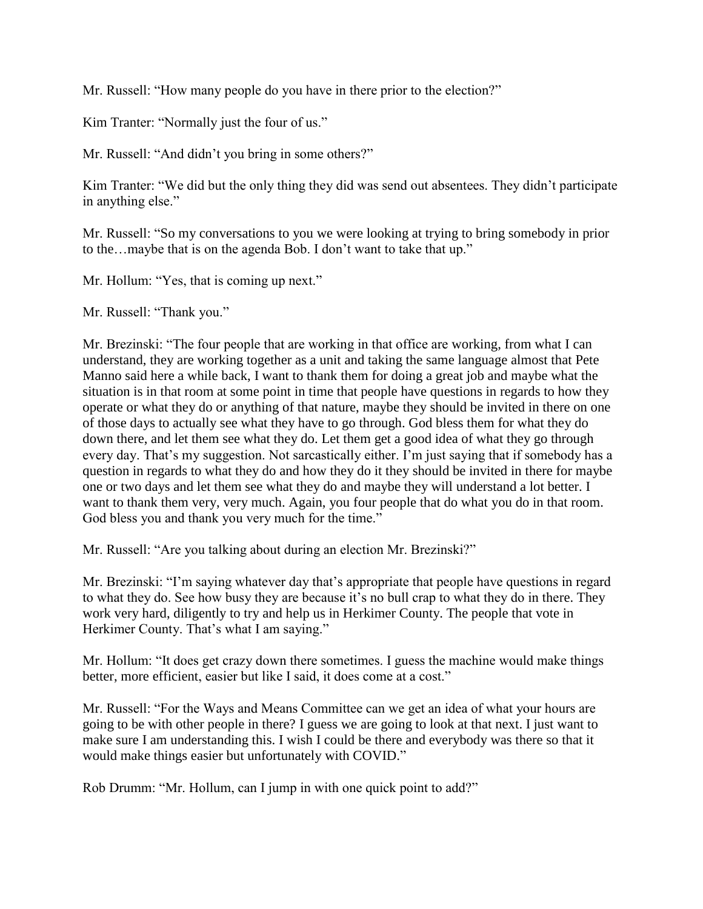Mr. Russell: "How many people do you have in there prior to the election?"

Kim Tranter: "Normally just the four of us."

Mr. Russell: "And didn't you bring in some others?"

Kim Tranter: "We did but the only thing they did was send out absentees. They didn't participate in anything else."

Mr. Russell: "So my conversations to you we were looking at trying to bring somebody in prior to the…maybe that is on the agenda Bob. I don't want to take that up."

Mr. Hollum: "Yes, that is coming up next."

Mr. Russell: "Thank you."

Mr. Brezinski: "The four people that are working in that office are working, from what I can understand, they are working together as a unit and taking the same language almost that Pete Manno said here a while back, I want to thank them for doing a great job and maybe what the situation is in that room at some point in time that people have questions in regards to how they operate or what they do or anything of that nature, maybe they should be invited in there on one of those days to actually see what they have to go through. God bless them for what they do down there, and let them see what they do. Let them get a good idea of what they go through every day. That's my suggestion. Not sarcastically either. I'm just saying that if somebody has a question in regards to what they do and how they do it they should be invited in there for maybe one or two days and let them see what they do and maybe they will understand a lot better. I want to thank them very, very much. Again, you four people that do what you do in that room. God bless you and thank you very much for the time."

Mr. Russell: "Are you talking about during an election Mr. Brezinski?"

Mr. Brezinski: "I'm saying whatever day that's appropriate that people have questions in regard to what they do. See how busy they are because it's no bull crap to what they do in there. They work very hard, diligently to try and help us in Herkimer County. The people that vote in Herkimer County. That's what I am saying."

Mr. Hollum: "It does get crazy down there sometimes. I guess the machine would make things better, more efficient, easier but like I said, it does come at a cost."

Mr. Russell: "For the Ways and Means Committee can we get an idea of what your hours are going to be with other people in there? I guess we are going to look at that next. I just want to make sure I am understanding this. I wish I could be there and everybody was there so that it would make things easier but unfortunately with COVID."

Rob Drumm: "Mr. Hollum, can I jump in with one quick point to add?"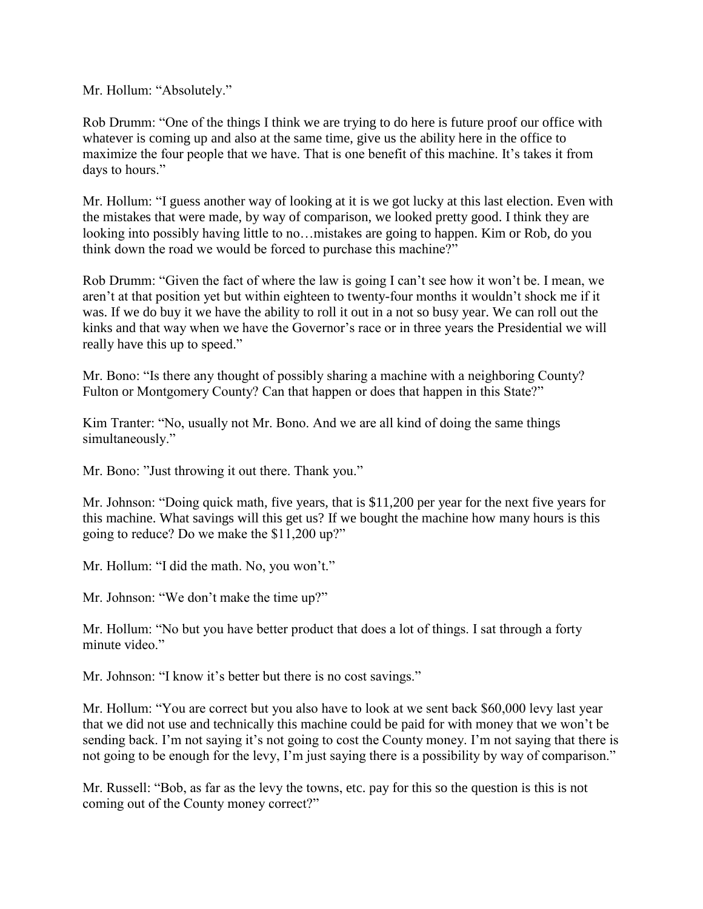Mr. Hollum: "Absolutely."

Rob Drumm: "One of the things I think we are trying to do here is future proof our office with whatever is coming up and also at the same time, give us the ability here in the office to maximize the four people that we have. That is one benefit of this machine. It's takes it from days to hours."

Mr. Hollum: "I guess another way of looking at it is we got lucky at this last election. Even with the mistakes that were made, by way of comparison, we looked pretty good. I think they are looking into possibly having little to no…mistakes are going to happen. Kim or Rob, do you think down the road we would be forced to purchase this machine?"

Rob Drumm: "Given the fact of where the law is going I can't see how it won't be. I mean, we aren't at that position yet but within eighteen to twenty-four months it wouldn't shock me if it was. If we do buy it we have the ability to roll it out in a not so busy year. We can roll out the kinks and that way when we have the Governor's race or in three years the Presidential we will really have this up to speed."

Mr. Bono: "Is there any thought of possibly sharing a machine with a neighboring County? Fulton or Montgomery County? Can that happen or does that happen in this State?"

Kim Tranter: "No, usually not Mr. Bono. And we are all kind of doing the same things simultaneously."

Mr. Bono: "Just throwing it out there. Thank you."

Mr. Johnson: "Doing quick math, five years, that is \$11,200 per year for the next five years for this machine. What savings will this get us? If we bought the machine how many hours is this going to reduce? Do we make the \$11,200 up?"

Mr. Hollum: "I did the math. No, you won't."

Mr. Johnson: "We don't make the time up?"

Mr. Hollum: "No but you have better product that does a lot of things. I sat through a forty minute video."

Mr. Johnson: "I know it's better but there is no cost savings."

Mr. Hollum: "You are correct but you also have to look at we sent back \$60,000 levy last year that we did not use and technically this machine could be paid for with money that we won't be sending back. I'm not saying it's not going to cost the County money. I'm not saying that there is not going to be enough for the levy, I'm just saying there is a possibility by way of comparison."

Mr. Russell: "Bob, as far as the levy the towns, etc. pay for this so the question is this is not coming out of the County money correct?"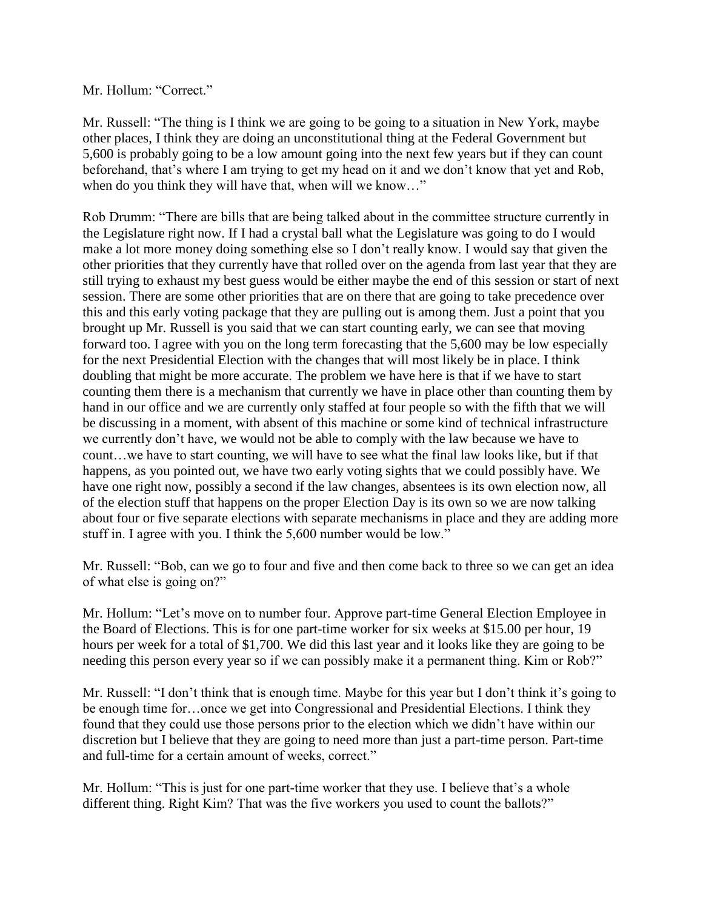#### Mr. Hollum: "Correct."

Mr. Russell: "The thing is I think we are going to be going to a situation in New York, maybe other places, I think they are doing an unconstitutional thing at the Federal Government but 5,600 is probably going to be a low amount going into the next few years but if they can count beforehand, that's where I am trying to get my head on it and we don't know that yet and Rob, when do you think they will have that, when will we know..."

Rob Drumm: "There are bills that are being talked about in the committee structure currently in the Legislature right now. If I had a crystal ball what the Legislature was going to do I would make a lot more money doing something else so I don't really know. I would say that given the other priorities that they currently have that rolled over on the agenda from last year that they are still trying to exhaust my best guess would be either maybe the end of this session or start of next session. There are some other priorities that are on there that are going to take precedence over this and this early voting package that they are pulling out is among them. Just a point that you brought up Mr. Russell is you said that we can start counting early, we can see that moving forward too. I agree with you on the long term forecasting that the 5,600 may be low especially for the next Presidential Election with the changes that will most likely be in place. I think doubling that might be more accurate. The problem we have here is that if we have to start counting them there is a mechanism that currently we have in place other than counting them by hand in our office and we are currently only staffed at four people so with the fifth that we will be discussing in a moment, with absent of this machine or some kind of technical infrastructure we currently don't have, we would not be able to comply with the law because we have to count…we have to start counting, we will have to see what the final law looks like, but if that happens, as you pointed out, we have two early voting sights that we could possibly have. We have one right now, possibly a second if the law changes, absentees is its own election now, all of the election stuff that happens on the proper Election Day is its own so we are now talking about four or five separate elections with separate mechanisms in place and they are adding more stuff in. I agree with you. I think the 5,600 number would be low."

Mr. Russell: "Bob, can we go to four and five and then come back to three so we can get an idea of what else is going on?"

Mr. Hollum: "Let's move on to number four. Approve part-time General Election Employee in the Board of Elections. This is for one part-time worker for six weeks at \$15.00 per hour, 19 hours per week for a total of \$1,700. We did this last year and it looks like they are going to be needing this person every year so if we can possibly make it a permanent thing. Kim or Rob?"

Mr. Russell: "I don't think that is enough time. Maybe for this year but I don't think it's going to be enough time for…once we get into Congressional and Presidential Elections. I think they found that they could use those persons prior to the election which we didn't have within our discretion but I believe that they are going to need more than just a part-time person. Part-time and full-time for a certain amount of weeks, correct."

Mr. Hollum: "This is just for one part-time worker that they use. I believe that's a whole different thing. Right Kim? That was the five workers you used to count the ballots?"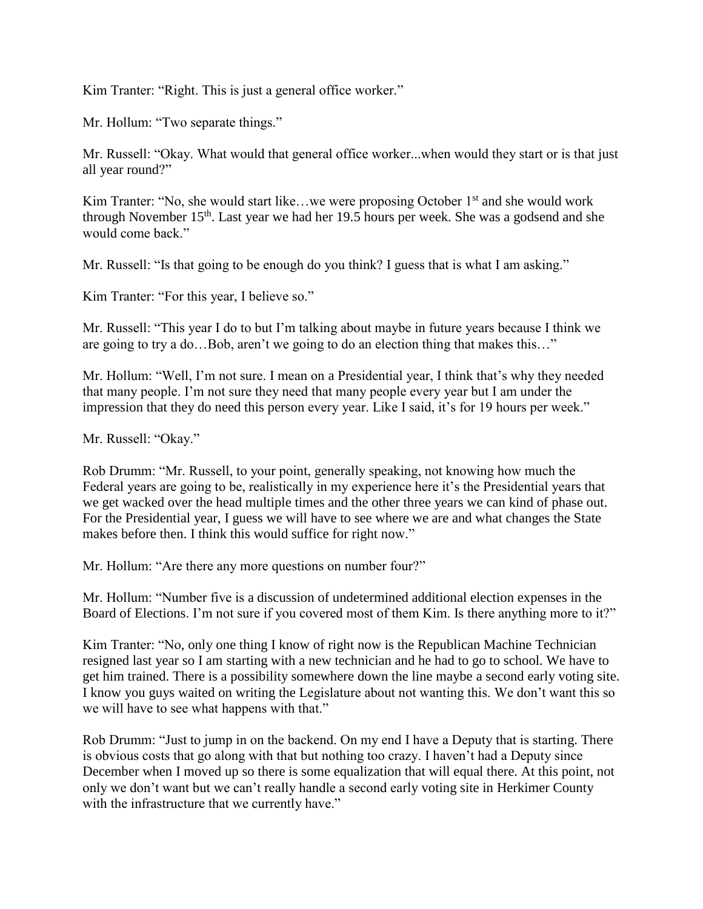Kim Tranter: "Right. This is just a general office worker."

Mr. Hollum: "Two separate things."

Mr. Russell: "Okay. What would that general office worker...when would they start or is that just all year round?"

Kim Tranter: "No, she would start like...we were proposing October 1<sup>st</sup> and she would work through November 15th. Last year we had her 19.5 hours per week. She was a godsend and she would come back."

Mr. Russell: "Is that going to be enough do you think? I guess that is what I am asking."

Kim Tranter: "For this year, I believe so."

Mr. Russell: "This year I do to but I'm talking about maybe in future years because I think we are going to try a do…Bob, aren't we going to do an election thing that makes this…"

Mr. Hollum: "Well, I'm not sure. I mean on a Presidential year, I think that's why they needed that many people. I'm not sure they need that many people every year but I am under the impression that they do need this person every year. Like I said, it's for 19 hours per week."

Mr. Russell: "Okay."

Rob Drumm: "Mr. Russell, to your point, generally speaking, not knowing how much the Federal years are going to be, realistically in my experience here it's the Presidential years that we get wacked over the head multiple times and the other three years we can kind of phase out. For the Presidential year, I guess we will have to see where we are and what changes the State makes before then. I think this would suffice for right now."

Mr. Hollum: "Are there any more questions on number four?"

Mr. Hollum: "Number five is a discussion of undetermined additional election expenses in the Board of Elections. I'm not sure if you covered most of them Kim. Is there anything more to it?"

Kim Tranter: "No, only one thing I know of right now is the Republican Machine Technician resigned last year so I am starting with a new technician and he had to go to school. We have to get him trained. There is a possibility somewhere down the line maybe a second early voting site. I know you guys waited on writing the Legislature about not wanting this. We don't want this so we will have to see what happens with that."

Rob Drumm: "Just to jump in on the backend. On my end I have a Deputy that is starting. There is obvious costs that go along with that but nothing too crazy. I haven't had a Deputy since December when I moved up so there is some equalization that will equal there. At this point, not only we don't want but we can't really handle a second early voting site in Herkimer County with the infrastructure that we currently have."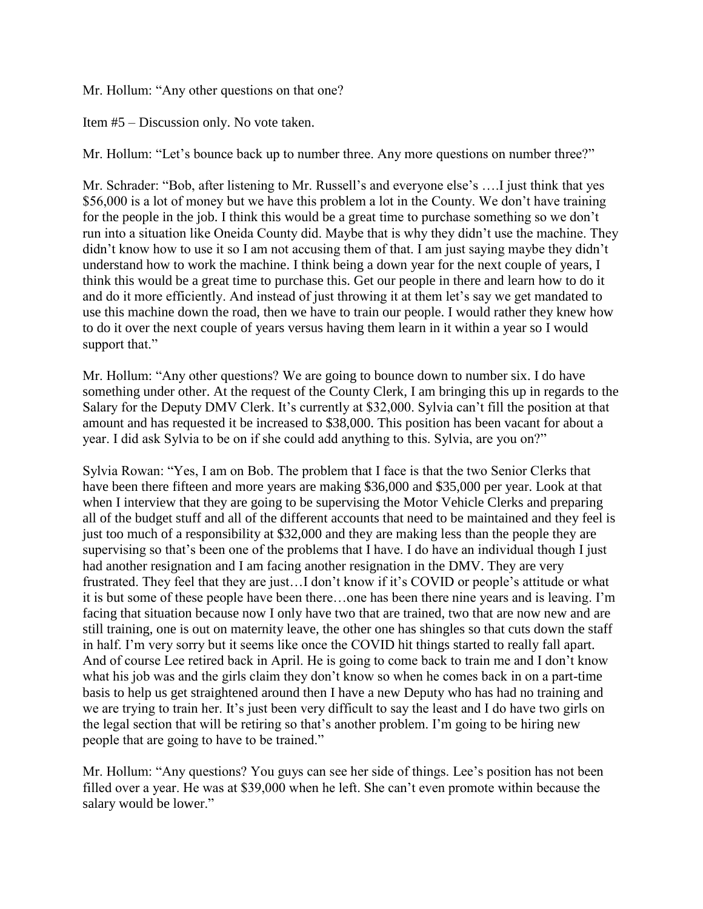Mr. Hollum: "Any other questions on that one?

Item #5 – Discussion only. No vote taken.

Mr. Hollum: "Let's bounce back up to number three. Any more questions on number three?"

Mr. Schrader: "Bob, after listening to Mr. Russell's and everyone else's ….I just think that yes \$56,000 is a lot of money but we have this problem a lot in the County. We don't have training for the people in the job. I think this would be a great time to purchase something so we don't run into a situation like Oneida County did. Maybe that is why they didn't use the machine. They didn't know how to use it so I am not accusing them of that. I am just saying maybe they didn't understand how to work the machine. I think being a down year for the next couple of years, I think this would be a great time to purchase this. Get our people in there and learn how to do it and do it more efficiently. And instead of just throwing it at them let's say we get mandated to use this machine down the road, then we have to train our people. I would rather they knew how to do it over the next couple of years versus having them learn in it within a year so I would support that."

Mr. Hollum: "Any other questions? We are going to bounce down to number six. I do have something under other. At the request of the County Clerk, I am bringing this up in regards to the Salary for the Deputy DMV Clerk. It's currently at \$32,000. Sylvia can't fill the position at that amount and has requested it be increased to \$38,000. This position has been vacant for about a year. I did ask Sylvia to be on if she could add anything to this. Sylvia, are you on?"

Sylvia Rowan: "Yes, I am on Bob. The problem that I face is that the two Senior Clerks that have been there fifteen and more years are making \$36,000 and \$35,000 per year. Look at that when I interview that they are going to be supervising the Motor Vehicle Clerks and preparing all of the budget stuff and all of the different accounts that need to be maintained and they feel is just too much of a responsibility at \$32,000 and they are making less than the people they are supervising so that's been one of the problems that I have. I do have an individual though I just had another resignation and I am facing another resignation in the DMV. They are very frustrated. They feel that they are just…I don't know if it's COVID or people's attitude or what it is but some of these people have been there…one has been there nine years and is leaving. I'm facing that situation because now I only have two that are trained, two that are now new and are still training, one is out on maternity leave, the other one has shingles so that cuts down the staff in half. I'm very sorry but it seems like once the COVID hit things started to really fall apart. And of course Lee retired back in April. He is going to come back to train me and I don't know what his job was and the girls claim they don't know so when he comes back in on a part-time basis to help us get straightened around then I have a new Deputy who has had no training and we are trying to train her. It's just been very difficult to say the least and I do have two girls on the legal section that will be retiring so that's another problem. I'm going to be hiring new people that are going to have to be trained."

Mr. Hollum: "Any questions? You guys can see her side of things. Lee's position has not been filled over a year. He was at \$39,000 when he left. She can't even promote within because the salary would be lower."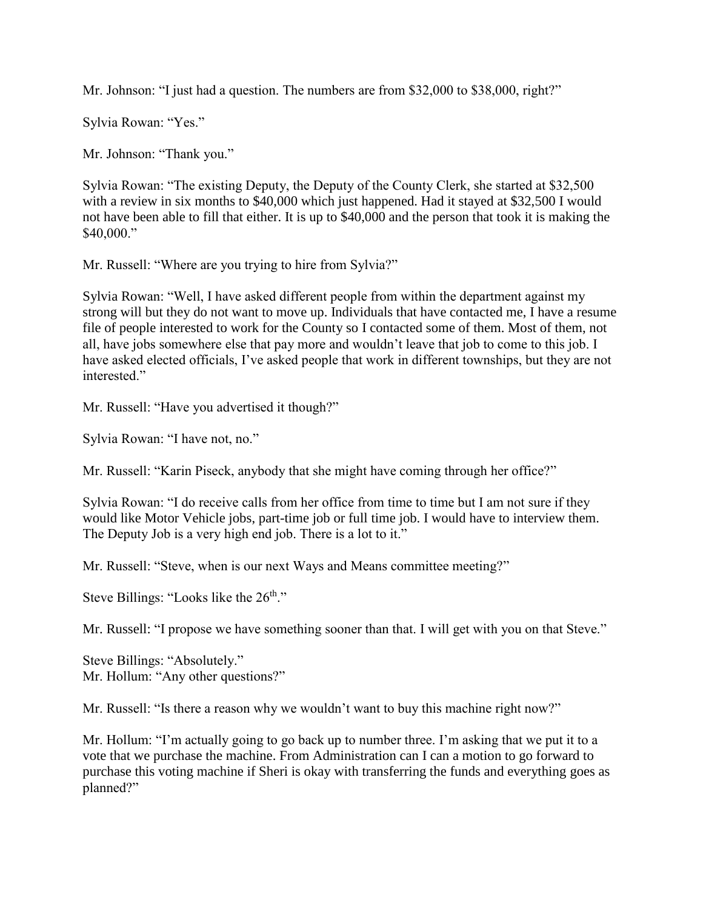Mr. Johnson: "I just had a question. The numbers are from \$32,000 to \$38,000, right?"

Sylvia Rowan: "Yes."

Mr. Johnson: "Thank you."

Sylvia Rowan: "The existing Deputy, the Deputy of the County Clerk, she started at \$32,500 with a review in six months to \$40,000 which just happened. Had it stayed at \$32,500 I would not have been able to fill that either. It is up to \$40,000 and the person that took it is making the \$40,000."

Mr. Russell: "Where are you trying to hire from Sylvia?"

Sylvia Rowan: "Well, I have asked different people from within the department against my strong will but they do not want to move up. Individuals that have contacted me, I have a resume file of people interested to work for the County so I contacted some of them. Most of them, not all, have jobs somewhere else that pay more and wouldn't leave that job to come to this job. I have asked elected officials, I've asked people that work in different townships, but they are not interested."

Mr. Russell: "Have you advertised it though?"

Sylvia Rowan: "I have not, no."

Mr. Russell: "Karin Piseck, anybody that she might have coming through her office?"

Sylvia Rowan: "I do receive calls from her office from time to time but I am not sure if they would like Motor Vehicle jobs, part-time job or full time job. I would have to interview them. The Deputy Job is a very high end job. There is a lot to it."

Mr. Russell: "Steve, when is our next Ways and Means committee meeting?"

Steve Billings: "Looks like the  $26<sup>th</sup>$ ."

Mr. Russell: "I propose we have something sooner than that. I will get with you on that Steve."

Steve Billings: "Absolutely." Mr. Hollum: "Any other questions?"

Mr. Russell: "Is there a reason why we wouldn't want to buy this machine right now?"

Mr. Hollum: "I'm actually going to go back up to number three. I'm asking that we put it to a vote that we purchase the machine. From Administration can I can a motion to go forward to purchase this voting machine if Sheri is okay with transferring the funds and everything goes as planned?"